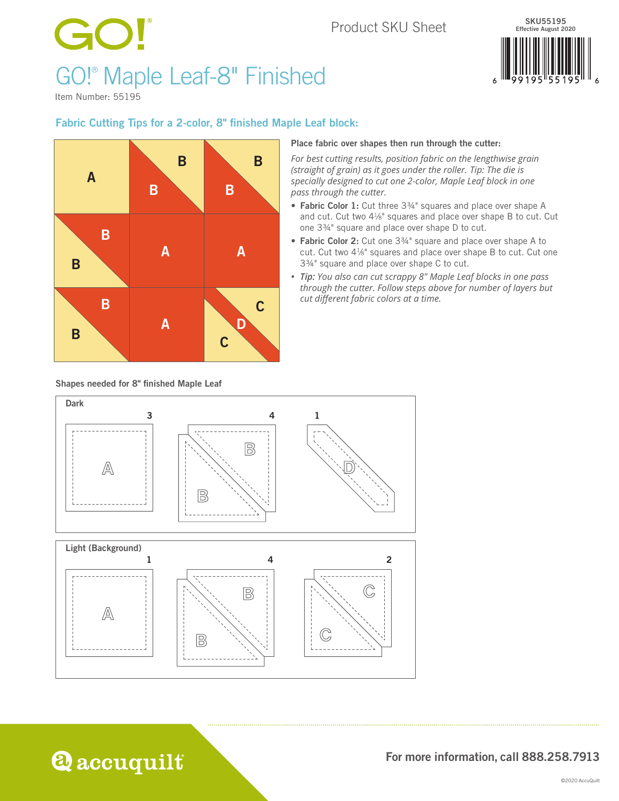## Product SKU Sheet

# GO! GO!® Maple Leaf-8" Finished



Item Number: 55195

### Fabric Cutting Tips for a 2-color, 8" finished Maple Leaf block:



#### Place fabric over shapes then run through the cutter:

*For best cutting results, position fabric on the lengthwise grain (straight of grain) as it goes under the roller. Tip: The die is specially designed to cut one 2-color, Maple Leaf block in one pass through the cutter.*

- Fabric Color 1: Cut three 3<sup>3</sup>/4" squares and place over shape A and cut. Cut two 41/8" squares and place over shape B to cut. Cut one 3<sup>3/4</sup>" square and place over shape D to cut.
- Fabric Color 2: Cut one 3<sup>3</sup>/<sub>4</sub>" square and place over shape A to cut. Cut two 41⁄8" squares and place over shape B to cut. Cut one 33/4" square and place over shape C to cut.
- *• Tip: You also can cut scrappy 8" Maple Leaf blocks in one pass through the cutter. Follow steps above for number of layers but cut different fabric colors at a time.*

Shapes needed for 8" finished Maple Leaf

**Q** accuquilt



For more information, call 888.258.7913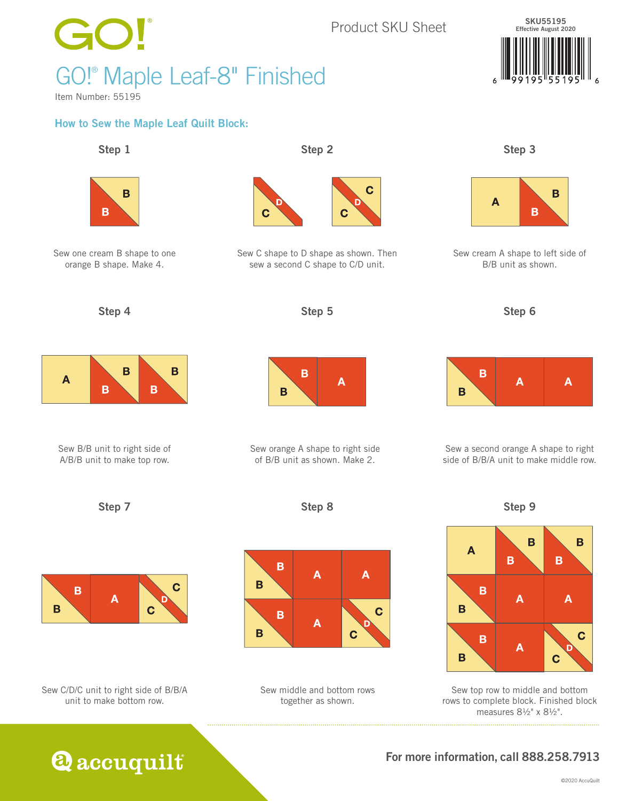

rows to complete block. Finished block measures 8½" x 8½".

For more information, call 888.258.7913

**Q** accuquilt